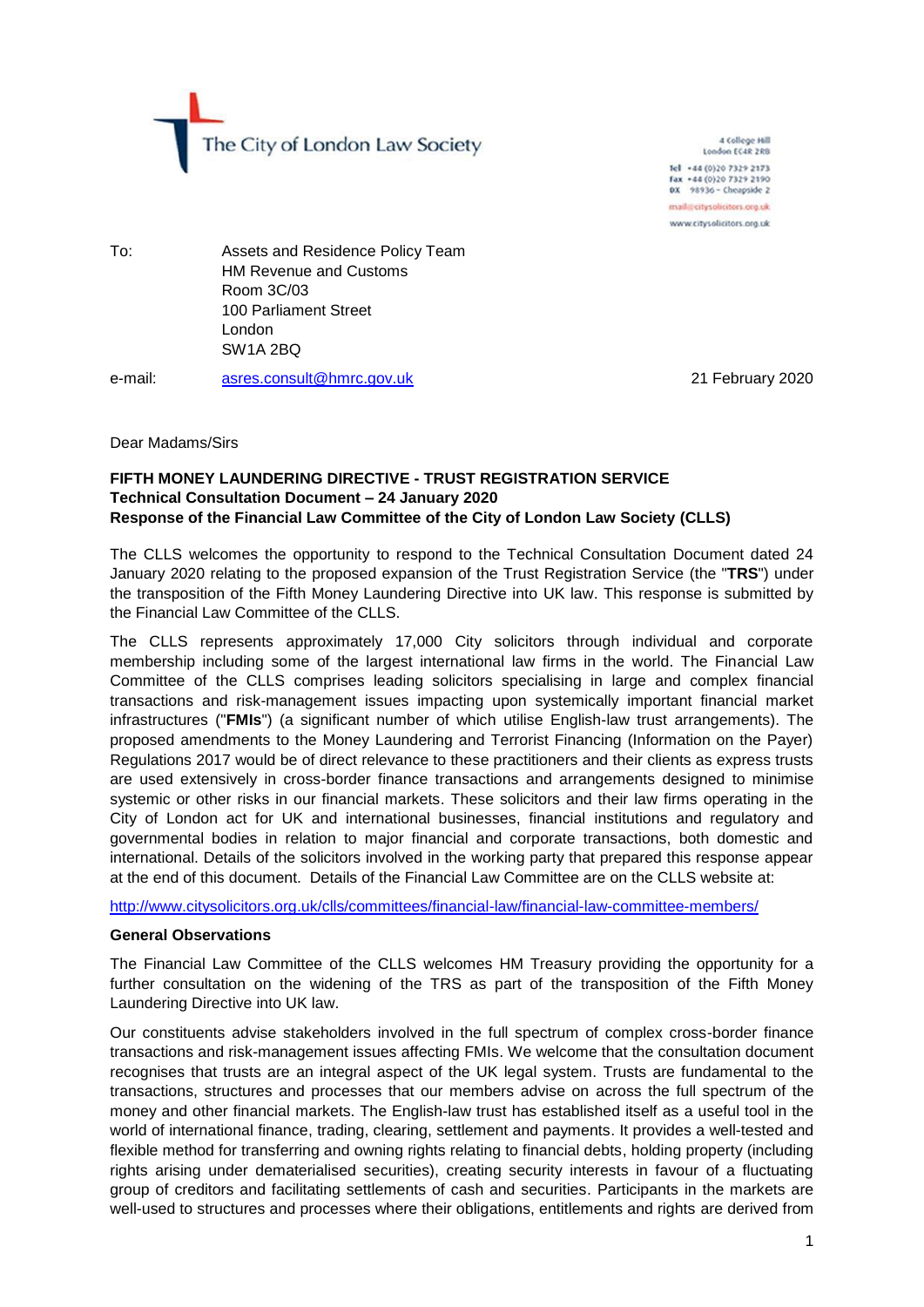The City of London Law Society

4 College Hill London FC4R 2RB Tel +44 (0)20 7329 2173 Fax +44 (0)20 7329 2190<br>DX 98936 - Cheapside 2 mail@citysolicitors.org.uk www.citysolicitors.org.uk

To: Assets and Residence Policy Team HM Revenue and Customs Room 3C/03 100 Parliament Street London SW1A 2BQ

e-mail: [asres.consult@hmrc.gov.uk](mailto:asres.consult@hmrc.gov.uk) 21 February 2020

#### Dear Madams/Sirs

### **FIFTH MONEY LAUNDERING DIRECTIVE - TRUST REGISTRATION SERVICE Technical Consultation Document – 24 January 2020 Response of the Financial Law Committee of the City of London Law Society (CLLS)**

The CLLS welcomes the opportunity to respond to the Technical Consultation Document dated 24 January 2020 relating to the proposed expansion of the Trust Registration Service (the "**TRS**") under the transposition of the Fifth Money Laundering Directive into UK law. This response is submitted by the Financial Law Committee of the CLLS.

The CLLS represents approximately 17,000 City solicitors through individual and corporate membership including some of the largest international law firms in the world. The Financial Law Committee of the CLLS comprises leading solicitors specialising in large and complex financial transactions and risk-management issues impacting upon systemically important financial market infrastructures ("**FMIs**") (a significant number of which utilise English-law trust arrangements). The proposed amendments to the Money Laundering and Terrorist Financing (Information on the Payer) Regulations 2017 would be of direct relevance to these practitioners and their clients as express trusts are used extensively in cross-border finance transactions and arrangements designed to minimise systemic or other risks in our financial markets. These solicitors and their law firms operating in the City of London act for UK and international businesses, financial institutions and regulatory and governmental bodies in relation to major financial and corporate transactions, both domestic and international. Details of the solicitors involved in the working party that prepared this response appear at the end of this document. Details of the Financial Law Committee are on the CLLS website at:

<http://www.citysolicitors.org.uk/clls/committees/financial-law/financial-law-committee-members/>

#### **General Observations**

The Financial Law Committee of the CLLS welcomes HM Treasury providing the opportunity for a further consultation on the widening of the TRS as part of the transposition of the Fifth Money Laundering Directive into UK law.

Our constituents advise stakeholders involved in the full spectrum of complex cross-border finance transactions and risk-management issues affecting FMIs. We welcome that the consultation document recognises that trusts are an integral aspect of the UK legal system. Trusts are fundamental to the transactions, structures and processes that our members advise on across the full spectrum of the money and other financial markets. The English-law trust has established itself as a useful tool in the world of international finance, trading, clearing, settlement and payments. It provides a well-tested and flexible method for transferring and owning rights relating to financial debts, holding property (including rights arising under dematerialised securities), creating security interests in favour of a fluctuating group of creditors and facilitating settlements of cash and securities. Participants in the markets are well-used to structures and processes where their obligations, entitlements and rights are derived from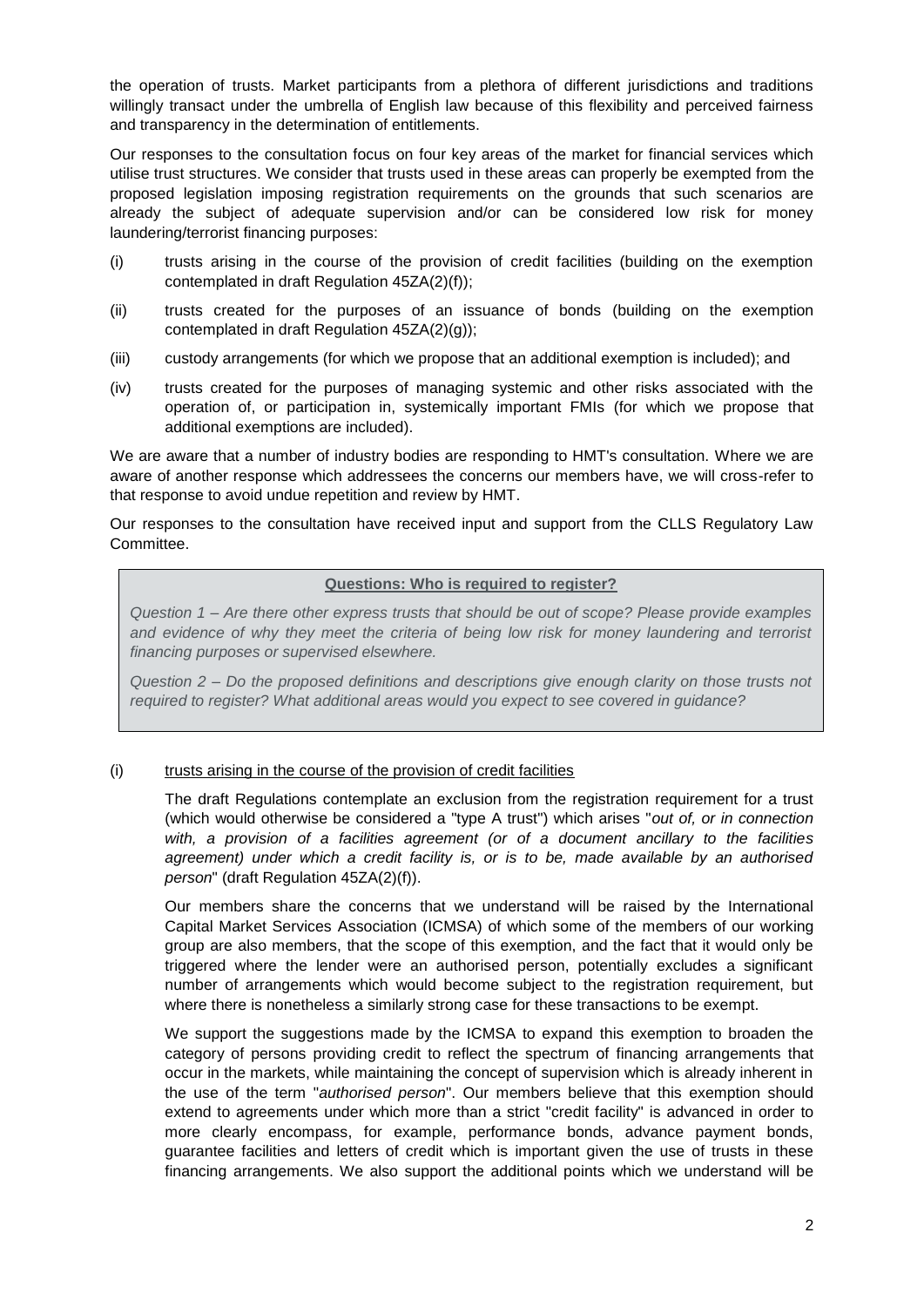the operation of trusts. Market participants from a plethora of different jurisdictions and traditions willingly transact under the umbrella of English law because of this flexibility and perceived fairness and transparency in the determination of entitlements.

Our responses to the consultation focus on four key areas of the market for financial services which utilise trust structures. We consider that trusts used in these areas can properly be exempted from the proposed legislation imposing registration requirements on the grounds that such scenarios are already the subject of adequate supervision and/or can be considered low risk for money laundering/terrorist financing purposes:

- (i) trusts arising in the course of the provision of credit facilities (building on the exemption contemplated in draft Regulation 45ZA(2)(f));
- (ii) trusts created for the purposes of an issuance of bonds (building on the exemption contemplated in draft Regulation 45ZA(2)(g));
- (iii) custody arrangements (for which we propose that an additional exemption is included); and
- (iv) trusts created for the purposes of managing systemic and other risks associated with the operation of, or participation in, systemically important FMIs (for which we propose that additional exemptions are included).

We are aware that a number of industry bodies are responding to HMT's consultation. Where we are aware of another response which addressees the concerns our members have, we will cross-refer to that response to avoid undue repetition and review by HMT.

Our responses to the consultation have received input and support from the CLLS Regulatory Law Committee.

### **Questions: Who is required to register?**

*Question 1 – Are there other express trusts that should be out of scope? Please provide examples and evidence of why they meet the criteria of being low risk for money laundering and terrorist financing purposes or supervised elsewhere.* 

*Question 2 – Do the proposed definitions and descriptions give enough clarity on those trusts not required to register? What additional areas would you expect to see covered in guidance?*

## (i) trusts arising in the course of the provision of credit facilities

The draft Regulations contemplate an exclusion from the registration requirement for a trust (which would otherwise be considered a "type A trust") which arises "*out of, or in connection with, a provision of a facilities agreement (or of a document ancillary to the facilities agreement) under which a credit facility is, or is to be, made available by an authorised person*" (draft Regulation 45ZA(2)(f)).

Our members share the concerns that we understand will be raised by the International Capital Market Services Association (ICMSA) of which some of the members of our working group are also members, that the scope of this exemption, and the fact that it would only be triggered where the lender were an authorised person, potentially excludes a significant number of arrangements which would become subject to the registration requirement, but where there is nonetheless a similarly strong case for these transactions to be exempt.

We support the suggestions made by the ICMSA to expand this exemption to broaden the category of persons providing credit to reflect the spectrum of financing arrangements that occur in the markets, while maintaining the concept of supervision which is already inherent in the use of the term "*authorised person*". Our members believe that this exemption should extend to agreements under which more than a strict "credit facility" is advanced in order to more clearly encompass, for example, performance bonds, advance payment bonds, guarantee facilities and letters of credit which is important given the use of trusts in these financing arrangements. We also support the additional points which we understand will be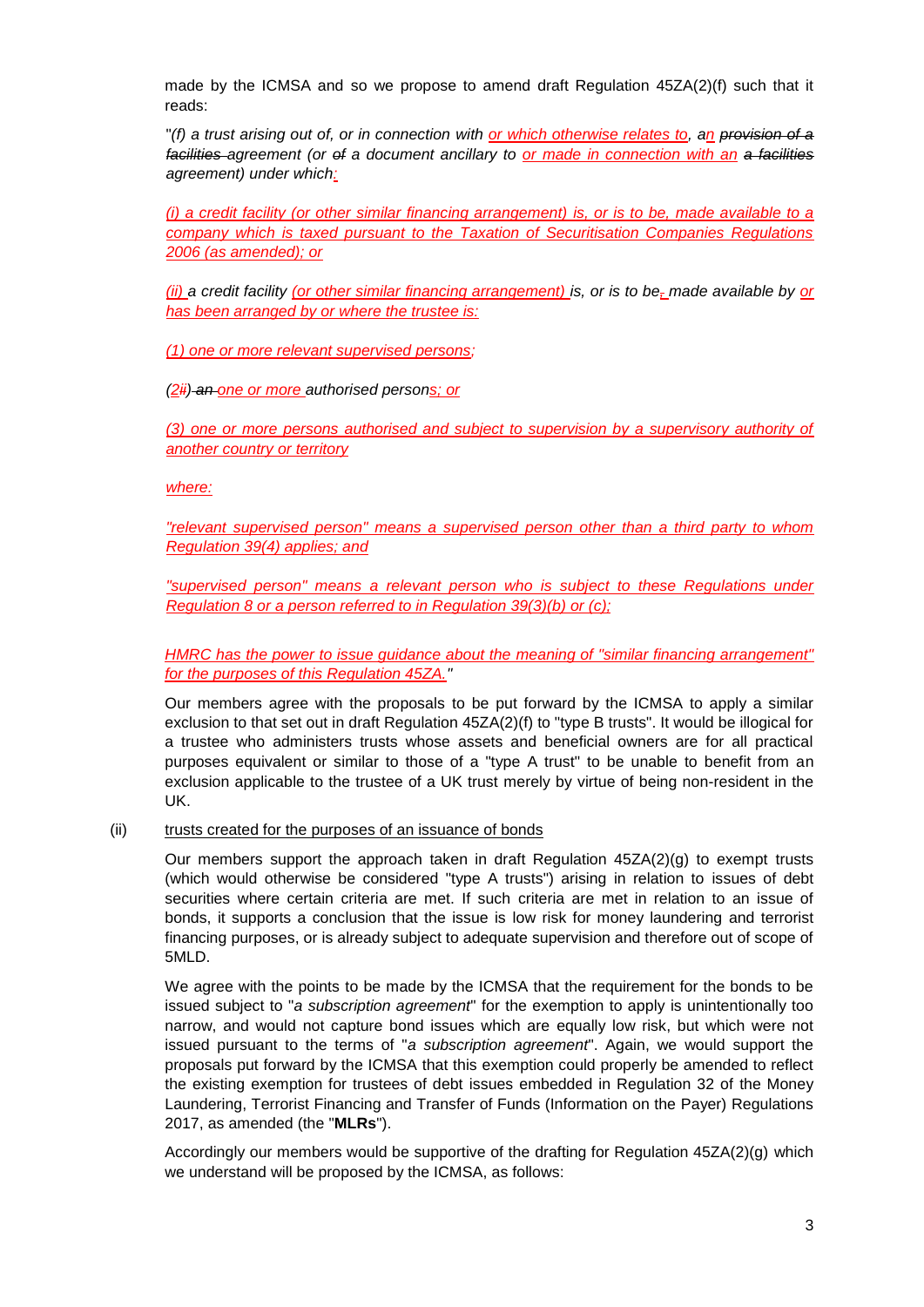made by the ICMSA and so we propose to amend draft Regulation 45ZA(2)(f) such that it reads:

"*(f) a trust arising out of, or in connection with or which otherwise relates to, an provision of a facilities agreement (or of a document ancillary to or made in connection with an a facilities agreement) under which:*

*(i) a credit facility (or other similar financing arrangement) is, or is to be, made available to a company which is taxed pursuant to the Taxation of Securitisation Companies Regulations 2006 (as amended); or*

*(ii) a credit facility (or other similar financing arrangement) is, or is to be, made available by or has been arranged by or where the trustee is:*

*(1) one or more relevant supervised persons;*

*(2ii) an one or more authorised persons; or*

*(3) one or more persons authorised and subject to supervision by a supervisory authority of another country or territory*

*where:*

*"relevant supervised person" means a supervised person other than a third party to whom Regulation 39(4) applies; and*

*"supervised person" means a relevant person who is subject to these Regulations under Regulation 8 or a person referred to in Regulation 39(3)(b) or (c);*

*HMRC has the power to issue guidance about the meaning of "similar financing arrangement" for the purposes of this Regulation 45ZA."*

Our members agree with the proposals to be put forward by the ICMSA to apply a similar exclusion to that set out in draft Regulation 45ZA(2)(f) to "type B trusts". It would be illogical for a trustee who administers trusts whose assets and beneficial owners are for all practical purposes equivalent or similar to those of a "type A trust" to be unable to benefit from an exclusion applicable to the trustee of a UK trust merely by virtue of being non-resident in the UK.

### (ii) trusts created for the purposes of an issuance of bonds

Our members support the approach taken in draft Regulation 45ZA(2)(g) to exempt trusts (which would otherwise be considered "type A trusts") arising in relation to issues of debt securities where certain criteria are met. If such criteria are met in relation to an issue of bonds, it supports a conclusion that the issue is low risk for money laundering and terrorist financing purposes, or is already subject to adequate supervision and therefore out of scope of 5MLD.

We agree with the points to be made by the ICMSA that the requirement for the bonds to be issued subject to "*a subscription agreement*" for the exemption to apply is unintentionally too narrow, and would not capture bond issues which are equally low risk, but which were not issued pursuant to the terms of "*a subscription agreement*". Again, we would support the proposals put forward by the ICMSA that this exemption could properly be amended to reflect the existing exemption for trustees of debt issues embedded in Regulation 32 of the Money Laundering, Terrorist Financing and Transfer of Funds (Information on the Payer) Regulations 2017, as amended (the "**MLRs**").

Accordingly our members would be supportive of the drafting for Regulation 45ZA(2)(g) which we understand will be proposed by the ICMSA, as follows: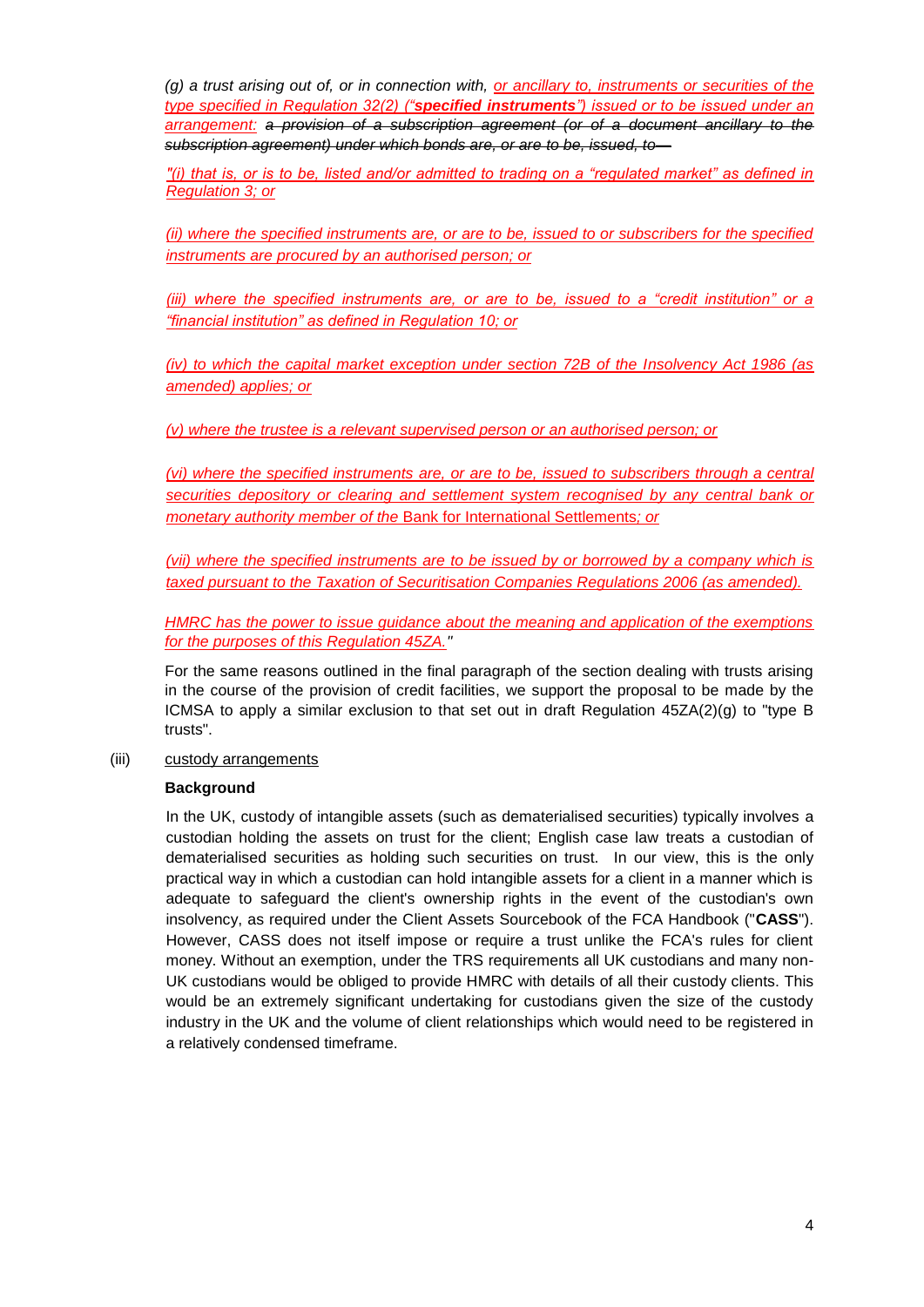*(g) a trust arising out of, or in connection with, or ancillary to, instruments or securities of the type specified in Regulation 32(2) ("specified instruments") issued or to be issued under an arrangement: a provision of a subscription agreement (or of a document ancillary to the subscription agreement) under which bonds are, or are to be, issued, to—*

*"(i) that is, or is to be, listed and/or admitted to trading on a "regulated market" as defined in Regulation 3; or*

*(ii) where the specified instruments are, or are to be, issued to or subscribers for the specified instruments are procured by an authorised person; or* 

*(iii) where the specified instruments are, or are to be, issued to a "credit institution" or a "financial institution" as defined in Regulation 10; or* 

*(iv) to which the capital market exception under section 72B of the Insolvency Act 1986 (as amended) applies; or*

*(v) where the trustee is a relevant supervised person or an authorised person; or*

*(vi) where the specified instruments are, or are to be, issued to subscribers through a central securities depository or clearing and settlement system recognised by any central bank or monetary authority member of the* Bank for International Settlements*; or*

*(vii) where the specified instruments are to be issued by or borrowed by a company which is taxed pursuant to the Taxation of Securitisation Companies Regulations 2006 (as amended).*

*HMRC has the power to issue guidance about the meaning and application of the exemptions for the purposes of this Regulation 45ZA."*

For the same reasons outlined in the final paragraph of the section dealing with trusts arising in the course of the provision of credit facilities, we support the proposal to be made by the ICMSA to apply a similar exclusion to that set out in draft Regulation  $45ZA(2)(g)$  to "type B trusts".

(iii) custody arrangements

## **Background**

In the UK, custody of intangible assets (such as dematerialised securities) typically involves a custodian holding the assets on trust for the client; English case law treats a custodian of dematerialised securities as holding such securities on trust. In our view, this is the only practical way in which a custodian can hold intangible assets for a client in a manner which is adequate to safeguard the client's ownership rights in the event of the custodian's own insolvency, as required under the Client Assets Sourcebook of the FCA Handbook ("**CASS**"). However, CASS does not itself impose or require a trust unlike the FCA's rules for client money. Without an exemption, under the TRS requirements all UK custodians and many non-UK custodians would be obliged to provide HMRC with details of all their custody clients. This would be an extremely significant undertaking for custodians given the size of the custody industry in the UK and the volume of client relationships which would need to be registered in a relatively condensed timeframe.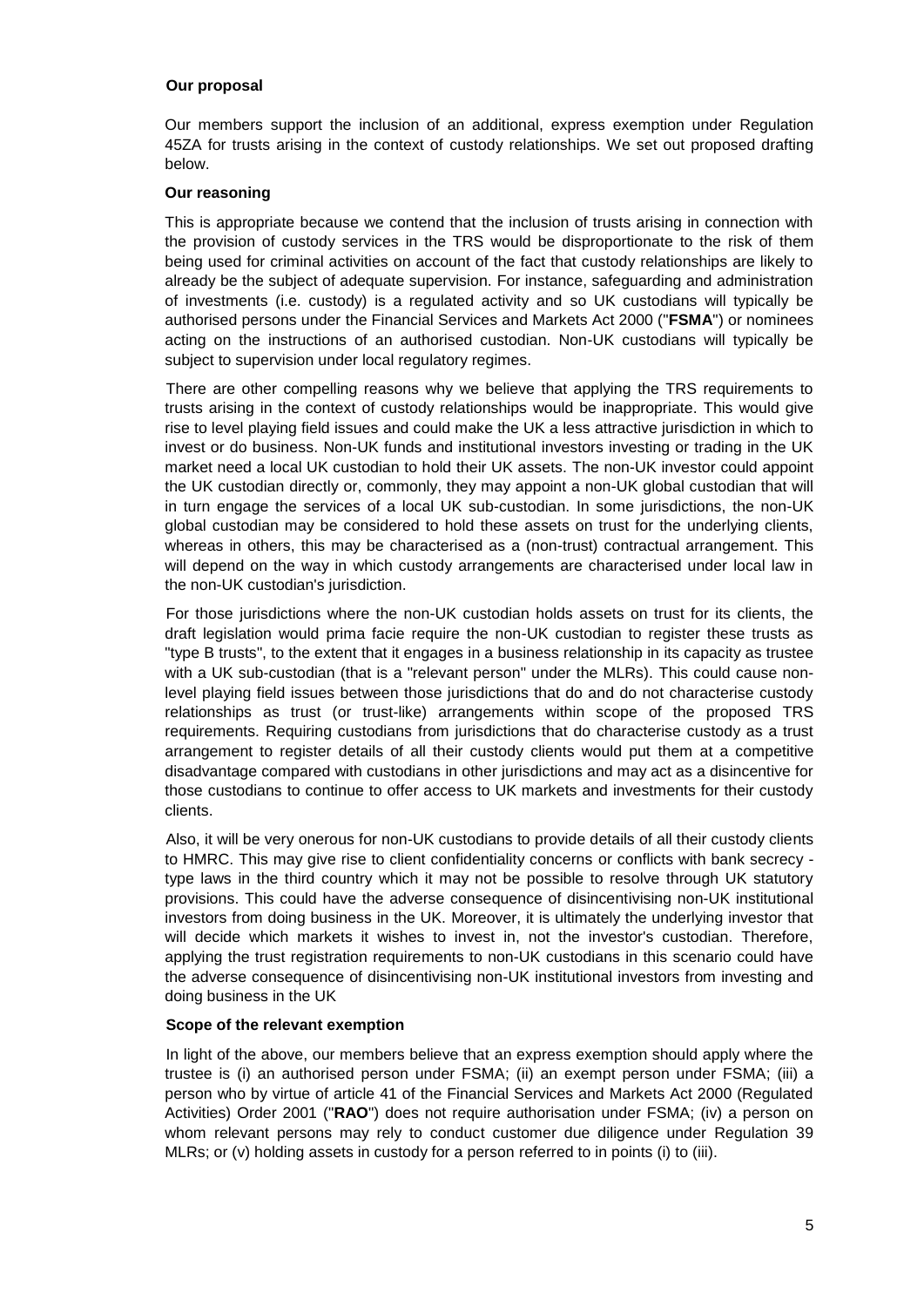### **Our proposal**

Our members support the inclusion of an additional, express exemption under Regulation 45ZA for trusts arising in the context of custody relationships. We set out proposed drafting below.

### **Our reasoning**

This is appropriate because we contend that the inclusion of trusts arising in connection with the provision of custody services in the TRS would be disproportionate to the risk of them being used for criminal activities on account of the fact that custody relationships are likely to already be the subject of adequate supervision. For instance, safeguarding and administration of investments (i.e. custody) is a regulated activity and so UK custodians will typically be authorised persons under the Financial Services and Markets Act 2000 ("**FSMA**") or nominees acting on the instructions of an authorised custodian. Non-UK custodians will typically be subject to supervision under local regulatory regimes.

There are other compelling reasons why we believe that applying the TRS requirements to trusts arising in the context of custody relationships would be inappropriate. This would give rise to level playing field issues and could make the UK a less attractive jurisdiction in which to invest or do business. Non-UK funds and institutional investors investing or trading in the UK market need a local UK custodian to hold their UK assets. The non-UK investor could appoint the UK custodian directly or, commonly, they may appoint a non-UK global custodian that will in turn engage the services of a local UK sub-custodian. In some jurisdictions, the non-UK global custodian may be considered to hold these assets on trust for the underlying clients, whereas in others, this may be characterised as a (non-trust) contractual arrangement. This will depend on the way in which custody arrangements are characterised under local law in the non-UK custodian's jurisdiction.

For those jurisdictions where the non-UK custodian holds assets on trust for its clients, the draft legislation would prima facie require the non-UK custodian to register these trusts as "type B trusts", to the extent that it engages in a business relationship in its capacity as trustee with a UK sub-custodian (that is a "relevant person" under the MLRs). This could cause nonlevel playing field issues between those jurisdictions that do and do not characterise custody relationships as trust (or trust-like) arrangements within scope of the proposed TRS requirements. Requiring custodians from jurisdictions that do characterise custody as a trust arrangement to register details of all their custody clients would put them at a competitive disadvantage compared with custodians in other jurisdictions and may act as a disincentive for those custodians to continue to offer access to UK markets and investments for their custody clients.

Also, it will be very onerous for non-UK custodians to provide details of all their custody clients to HMRC. This may give rise to client confidentiality concerns or conflicts with bank secrecy type laws in the third country which it may not be possible to resolve through UK statutory provisions. This could have the adverse consequence of disincentivising non-UK institutional investors from doing business in the UK. Moreover, it is ultimately the underlying investor that will decide which markets it wishes to invest in, not the investor's custodian. Therefore, applying the trust registration requirements to non-UK custodians in this scenario could have the adverse consequence of disincentivising non-UK institutional investors from investing and doing business in the UK

#### **Scope of the relevant exemption**

In light of the above, our members believe that an express exemption should apply where the trustee is (i) an authorised person under FSMA; (ii) an exempt person under FSMA; (iii) a person who by virtue of article 41 of the Financial Services and Markets Act 2000 (Regulated Activities) Order 2001 ("**RAO**") does not require authorisation under FSMA; (iv) a person on whom relevant persons may rely to conduct customer due diligence under Regulation 39 MLRs; or (v) holding assets in custody for a person referred to in points (i) to (iii).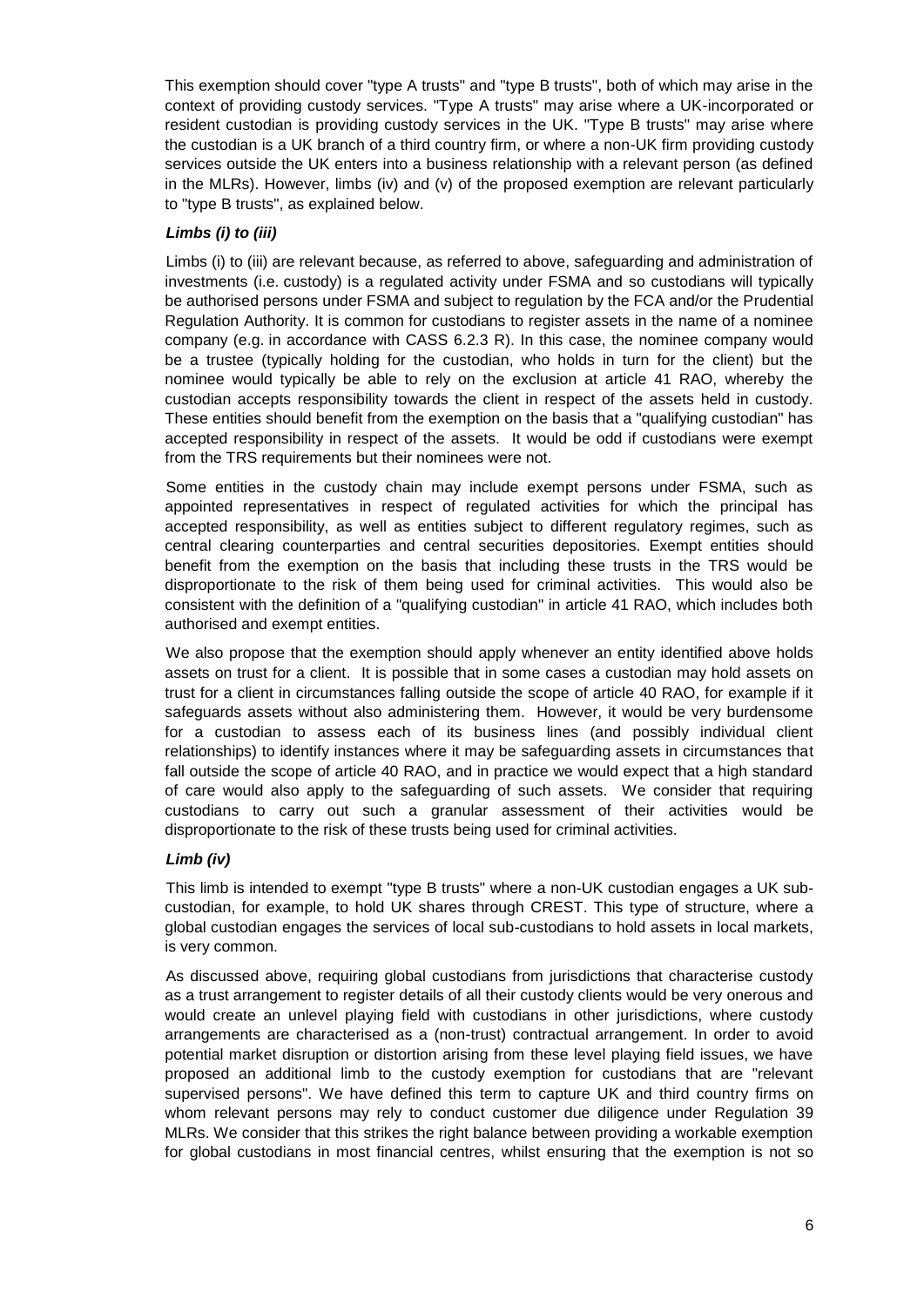This exemption should cover "type A trusts" and "type B trusts", both of which may arise in the context of providing custody services. "Type A trusts" may arise where a UK-incorporated or resident custodian is providing custody services in the UK. "Type B trusts" may arise where the custodian is a UK branch of a third country firm, or where a non-UK firm providing custody services outside the UK enters into a business relationship with a relevant person (as defined in the MLRs). However, limbs (iv) and (v) of the proposed exemption are relevant particularly to "type B trusts", as explained below.

# *Limbs (i) to (iii)*

Limbs (i) to (iii) are relevant because, as referred to above, safeguarding and administration of investments (i.e. custody) is a regulated activity under FSMA and so custodians will typically be authorised persons under FSMA and subject to regulation by the FCA and/or the Prudential Regulation Authority. It is common for custodians to register assets in the name of a nominee company (e.g. in accordance with CASS 6.2.3 R). In this case, the nominee company would be a trustee (typically holding for the custodian, who holds in turn for the client) but the nominee would typically be able to rely on the exclusion at article 41 RAO, whereby the custodian accepts responsibility towards the client in respect of the assets held in custody. These entities should benefit from the exemption on the basis that a "qualifying custodian" has accepted responsibility in respect of the assets. It would be odd if custodians were exempt from the TRS requirements but their nominees were not.

Some entities in the custody chain may include exempt persons under FSMA, such as appointed representatives in respect of regulated activities for which the principal has accepted responsibility, as well as entities subject to different regulatory regimes, such as central clearing counterparties and central securities depositories. Exempt entities should benefit from the exemption on the basis that including these trusts in the TRS would be disproportionate to the risk of them being used for criminal activities. This would also be consistent with the definition of a "qualifying custodian" in article 41 RAO, which includes both authorised and exempt entities.

We also propose that the exemption should apply whenever an entity identified above holds assets on trust for a client. It is possible that in some cases a custodian may hold assets on trust for a client in circumstances falling outside the scope of article 40 RAO, for example if it safeguards assets without also administering them. However, it would be very burdensome for a custodian to assess each of its business lines (and possibly individual client relationships) to identify instances where it may be safeguarding assets in circumstances that fall outside the scope of article 40 RAO, and in practice we would expect that a high standard of care would also apply to the safeguarding of such assets. We consider that requiring custodians to carry out such a granular assessment of their activities would be disproportionate to the risk of these trusts being used for criminal activities.

## *Limb (iv)*

This limb is intended to exempt "type B trusts" where a non-UK custodian engages a UK subcustodian, for example, to hold UK shares through CREST. This type of structure, where a global custodian engages the services of local sub-custodians to hold assets in local markets, is very common.

As discussed above, requiring global custodians from jurisdictions that characterise custody as a trust arrangement to register details of all their custody clients would be very onerous and would create an unlevel playing field with custodians in other jurisdictions, where custody arrangements are characterised as a (non-trust) contractual arrangement. In order to avoid potential market disruption or distortion arising from these level playing field issues, we have proposed an additional limb to the custody exemption for custodians that are "relevant supervised persons". We have defined this term to capture UK and third country firms on whom relevant persons may rely to conduct customer due diligence under Regulation 39 MLRs. We consider that this strikes the right balance between providing a workable exemption for global custodians in most financial centres, whilst ensuring that the exemption is not so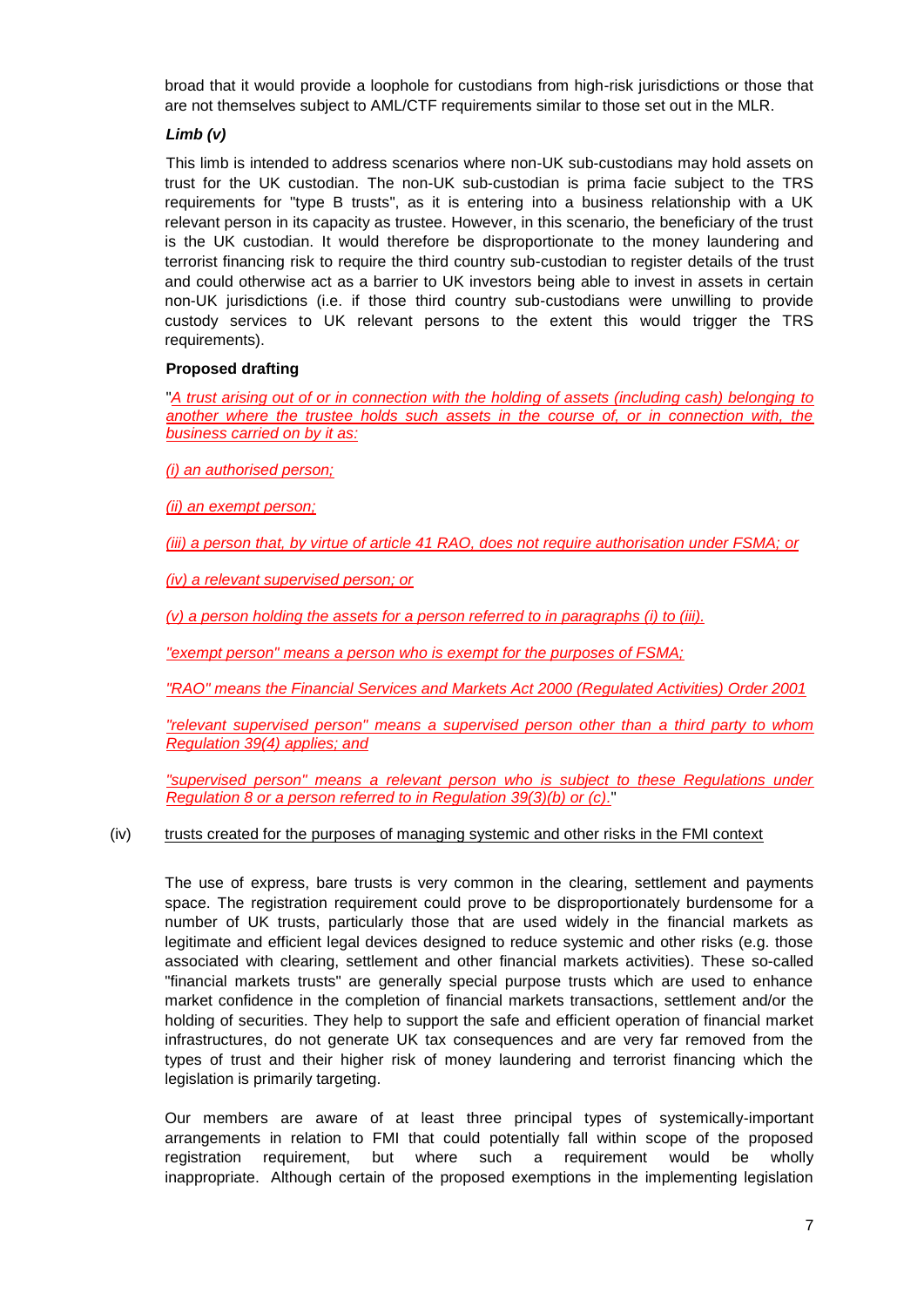broad that it would provide a loophole for custodians from high-risk jurisdictions or those that are not themselves subject to AML/CTF requirements similar to those set out in the MLR.

## *Limb (v)*

This limb is intended to address scenarios where non-UK sub-custodians may hold assets on trust for the UK custodian. The non-UK sub-custodian is prima facie subject to the TRS requirements for "type B trusts", as it is entering into a business relationship with a UK relevant person in its capacity as trustee. However, in this scenario, the beneficiary of the trust is the UK custodian. It would therefore be disproportionate to the money laundering and terrorist financing risk to require the third country sub-custodian to register details of the trust and could otherwise act as a barrier to UK investors being able to invest in assets in certain non-UK jurisdictions (i.e. if those third country sub-custodians were unwilling to provide custody services to UK relevant persons to the extent this would trigger the TRS requirements).

## **Proposed drafting**

"*A trust arising out of or in connection with the holding of assets (including cash) belonging to another where the trustee holds such assets in the course of, or in connection with, the business carried on by it as:* 

*(i) an authorised person;*

*(ii) an exempt person;*

*(iii) a person that, by virtue of article 41 RAO, does not require authorisation under FSMA; or*

# *(iv) a relevant supervised person; or*

*(v) a person holding the assets for a person referred to in paragraphs (i) to (iii).* 

*"exempt person" means a person who is exempt for the purposes of FSMA;*

*"RAO" means the Financial Services and Markets Act 2000 (Regulated Activities) Order 2001*

*"relevant supervised person" means a supervised person other than a third party to whom Regulation 39(4) applies; and*

*"supervised person" means a relevant person who is subject to these Regulations under Regulation 8 or a person referred to in Regulation 39(3)(b) or (c).*"

## (iv) trusts created for the purposes of managing systemic and other risks in the FMI context

The use of express, bare trusts is very common in the clearing, settlement and payments space. The registration requirement could prove to be disproportionately burdensome for a number of UK trusts, particularly those that are used widely in the financial markets as legitimate and efficient legal devices designed to reduce systemic and other risks (e.g. those associated with clearing, settlement and other financial markets activities). These so-called "financial markets trusts" are generally special purpose trusts which are used to enhance market confidence in the completion of financial markets transactions, settlement and/or the holding of securities. They help to support the safe and efficient operation of financial market infrastructures, do not generate UK tax consequences and are very far removed from the types of trust and their higher risk of money laundering and terrorist financing which the legislation is primarily targeting.

Our members are aware of at least three principal types of systemically-important arrangements in relation to FMI that could potentially fall within scope of the proposed registration requirement, but where such a requirement would be wholly inappropriate. Although certain of the proposed exemptions in the implementing legislation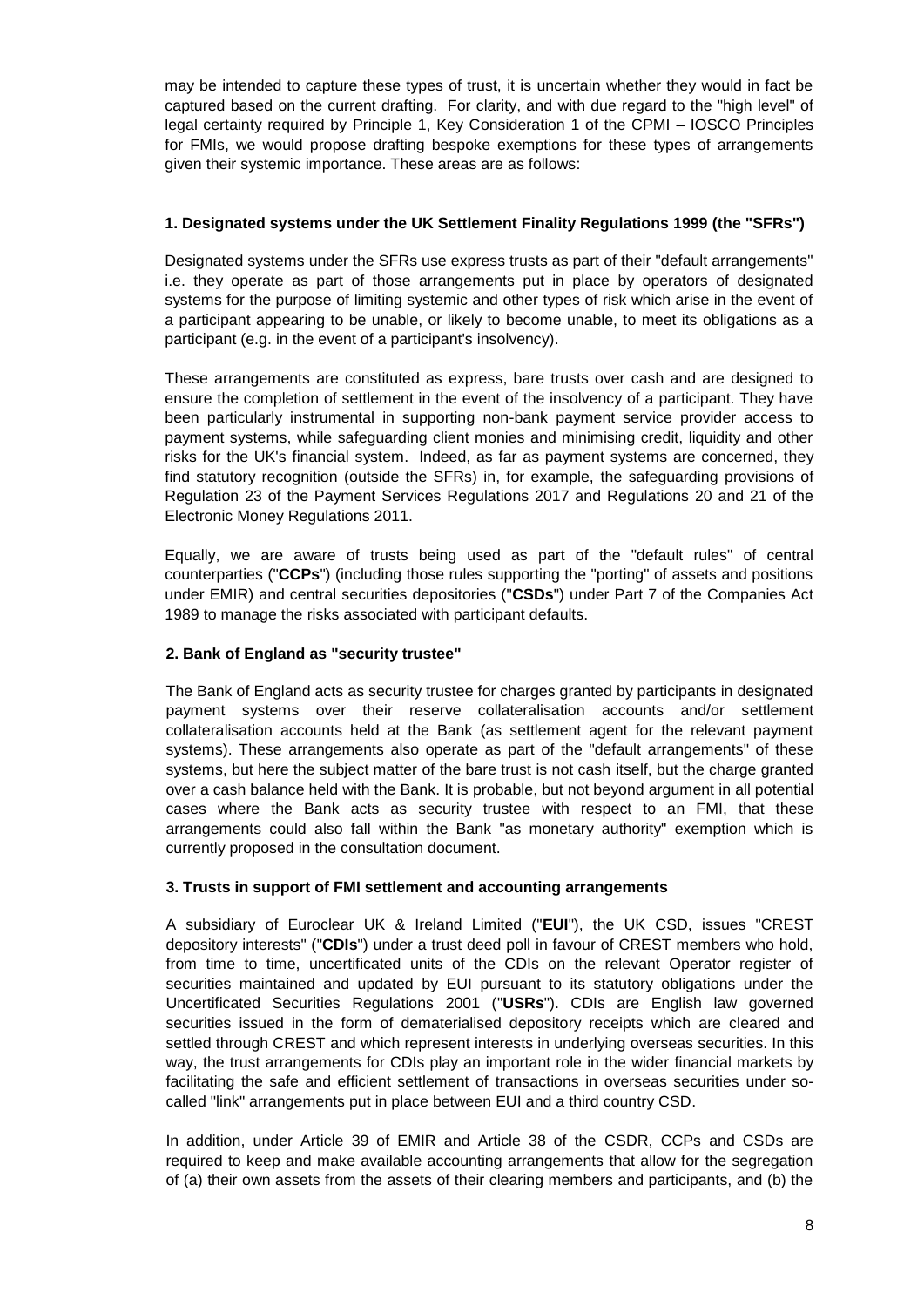may be intended to capture these types of trust, it is uncertain whether they would in fact be captured based on the current drafting. For clarity, and with due regard to the "high level" of legal certainty required by Principle 1, Key Consideration 1 of the CPMI – IOSCO Principles for FMIs, we would propose drafting bespoke exemptions for these types of arrangements given their systemic importance. These areas are as follows:

# **1. Designated systems under the UK Settlement Finality Regulations 1999 (the "SFRs")**

Designated systems under the SFRs use express trusts as part of their "default arrangements" i.e. they operate as part of those arrangements put in place by operators of designated systems for the purpose of limiting systemic and other types of risk which arise in the event of a participant appearing to be unable, or likely to become unable, to meet its obligations as a participant (e.g. in the event of a participant's insolvency).

These arrangements are constituted as express, bare trusts over cash and are designed to ensure the completion of settlement in the event of the insolvency of a participant. They have been particularly instrumental in supporting non-bank payment service provider access to payment systems, while safeguarding client monies and minimising credit, liquidity and other risks for the UK's financial system. Indeed, as far as payment systems are concerned, they find statutory recognition (outside the SFRs) in, for example, the safeguarding provisions of Regulation 23 of the Payment Services Regulations 2017 and Regulations 20 and 21 of the Electronic Money Regulations 2011.

Equally, we are aware of trusts being used as part of the "default rules" of central counterparties ("**CCPs**") (including those rules supporting the "porting" of assets and positions under EMIR) and central securities depositories ("**CSDs**") under Part 7 of the Companies Act 1989 to manage the risks associated with participant defaults.

# **2. Bank of England as "security trustee"**

The Bank of England acts as security trustee for charges granted by participants in designated payment systems over their reserve collateralisation accounts and/or settlement collateralisation accounts held at the Bank (as settlement agent for the relevant payment systems). These arrangements also operate as part of the "default arrangements" of these systems, but here the subject matter of the bare trust is not cash itself, but the charge granted over a cash balance held with the Bank. It is probable, but not beyond argument in all potential cases where the Bank acts as security trustee with respect to an FMI, that these arrangements could also fall within the Bank "as monetary authority" exemption which is currently proposed in the consultation document.

## **3. Trusts in support of FMI settlement and accounting arrangements**

A subsidiary of Euroclear UK & Ireland Limited ("**EUI**"), the UK CSD, issues "CREST depository interests" ("**CDIs**") under a trust deed poll in favour of CREST members who hold, from time to time, uncertificated units of the CDIs on the relevant Operator register of securities maintained and updated by EUI pursuant to its statutory obligations under the Uncertificated Securities Regulations 2001 ("**USRs**"). CDIs are English law governed securities issued in the form of dematerialised depository receipts which are cleared and settled through CREST and which represent interests in underlying overseas securities. In this way, the trust arrangements for CDIs play an important role in the wider financial markets by facilitating the safe and efficient settlement of transactions in overseas securities under socalled "link" arrangements put in place between EUI and a third country CSD.

In addition, under Article 39 of EMIR and Article 38 of the CSDR, CCPs and CSDs are required to keep and make available accounting arrangements that allow for the segregation of (a) their own assets from the assets of their clearing members and participants, and (b) the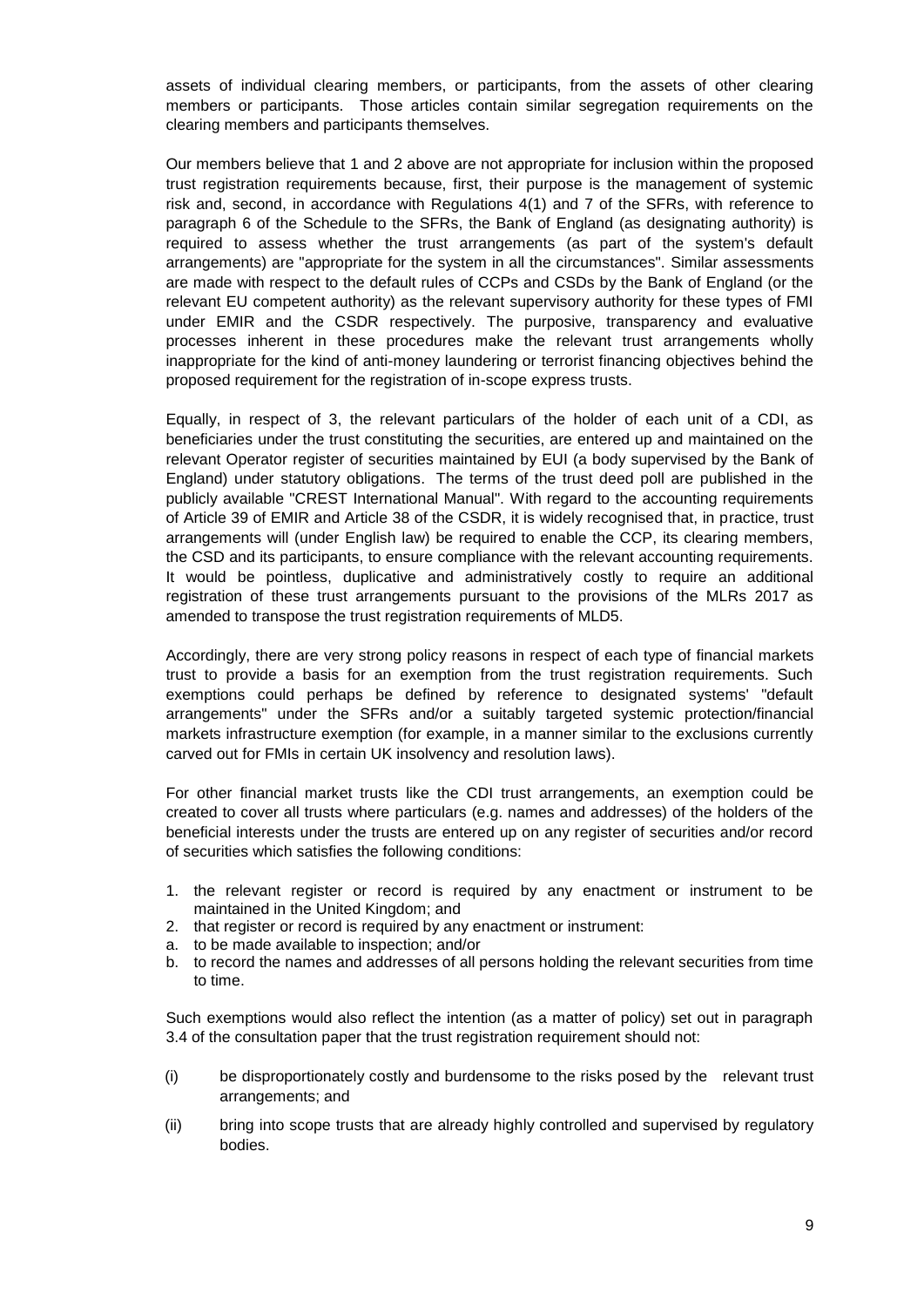assets of individual clearing members, or participants, from the assets of other clearing members or participants. Those articles contain similar segregation requirements on the clearing members and participants themselves.

Our members believe that 1 and 2 above are not appropriate for inclusion within the proposed trust registration requirements because, first, their purpose is the management of systemic risk and, second, in accordance with Regulations 4(1) and 7 of the SFRs, with reference to paragraph 6 of the Schedule to the SFRs, the Bank of England (as designating authority) is required to assess whether the trust arrangements (as part of the system's default arrangements) are "appropriate for the system in all the circumstances". Similar assessments are made with respect to the default rules of CCPs and CSDs by the Bank of England (or the relevant EU competent authority) as the relevant supervisory authority for these types of FMI under EMIR and the CSDR respectively. The purposive, transparency and evaluative processes inherent in these procedures make the relevant trust arrangements wholly inappropriate for the kind of anti-money laundering or terrorist financing objectives behind the proposed requirement for the registration of in-scope express trusts.

Equally, in respect of 3, the relevant particulars of the holder of each unit of a CDI, as beneficiaries under the trust constituting the securities, are entered up and maintained on the relevant Operator register of securities maintained by EUI (a body supervised by the Bank of England) under statutory obligations. The terms of the trust deed poll are published in the publicly available "CREST International Manual". With regard to the accounting requirements of Article 39 of EMIR and Article 38 of the CSDR, it is widely recognised that, in practice, trust arrangements will (under English law) be required to enable the CCP, its clearing members, the CSD and its participants, to ensure compliance with the relevant accounting requirements. It would be pointless, duplicative and administratively costly to require an additional registration of these trust arrangements pursuant to the provisions of the MLRs 2017 as amended to transpose the trust registration requirements of MLD5.

Accordingly, there are very strong policy reasons in respect of each type of financial markets trust to provide a basis for an exemption from the trust registration requirements. Such exemptions could perhaps be defined by reference to designated systems' "default arrangements" under the SFRs and/or a suitably targeted systemic protection/financial markets infrastructure exemption (for example, in a manner similar to the exclusions currently carved out for FMIs in certain UK insolvency and resolution laws).

For other financial market trusts like the CDI trust arrangements, an exemption could be created to cover all trusts where particulars (e.g. names and addresses) of the holders of the beneficial interests under the trusts are entered up on any register of securities and/or record of securities which satisfies the following conditions:

- 1. the relevant register or record is required by any enactment or instrument to be maintained in the United Kingdom; and
- 2. that register or record is required by any enactment or instrument:
- a. to be made available to inspection; and/or
- b. to record the names and addresses of all persons holding the relevant securities from time to time.

Such exemptions would also reflect the intention (as a matter of policy) set out in paragraph 3.4 of the consultation paper that the trust registration requirement should not:

- (i) be disproportionately costly and burdensome to the risks posed by the relevant trust arrangements; and
- (ii) bring into scope trusts that are already highly controlled and supervised by regulatory bodies.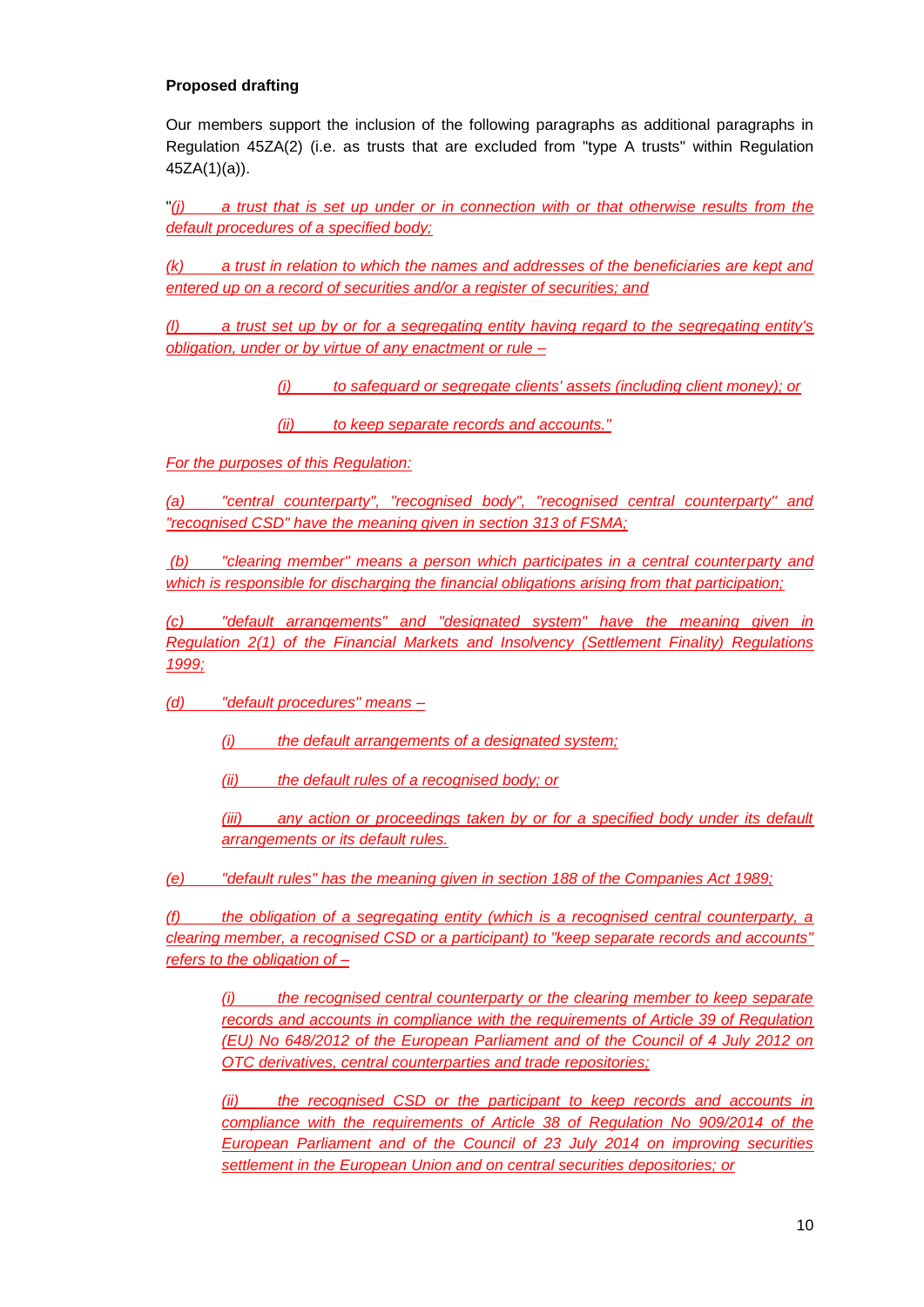# **Proposed drafting**

Our members support the inclusion of the following paragraphs as additional paragraphs in Regulation 45ZA(2) (i.e. as trusts that are excluded from "type A trusts" within Regulation 45ZA(1)(a)).

"*(j) a trust that is set up under or in connection with or that otherwise results from the default procedures of a specified body;*

*(k) a trust in relation to which the names and addresses of the beneficiaries are kept and entered up on a record of securities and/or a register of securities; and*

*(l) a trust set up by or for a segregating entity having regard to the segregating entity's obligation, under or by virtue of any enactment or rule –*

*(i) to safeguard or segregate clients' assets (including client money); or*

*(ii) to keep separate records and accounts."* 

*For the purposes of this Regulation:*

*(a) "central counterparty", "recognised body", "recognised central counterparty" and "recognised CSD" have the meaning given in section 313 of FSMA;*

*(b) "clearing member" means a person which participates in a central counterparty and which is responsible for discharging the financial obligations arising from that participation;*

*(c) "default arrangements" and "designated system" have the meaning given in Regulation 2(1) of the Financial Markets and Insolvency (Settlement Finality) Regulations 1999;*

*(d) "default procedures" means –*

*(i) the default arrangements of a designated system;* 

*(ii) the default rules of a recognised body; or*

*(iii) any action or proceedings taken by or for a specified body under its default arrangements or its default rules.*

*(e) "default rules" has the meaning given in section 188 of the Companies Act 1989;*

*(f) the obligation of a segregating entity (which is a recognised central counterparty, a clearing member, a recognised CSD or a participant) to "keep separate records and accounts" refers to the obligation of –*

*(i) the recognised central counterparty or the clearing member to keep separate records and accounts in compliance with the requirements of Article 39 of Regulation (EU) No 648/2012 of the European Parliament and of the Council of 4 July 2012 on OTC derivatives, central counterparties and trade repositories;* 

*(ii) the recognised CSD or the participant to keep records and accounts in compliance with the requirements of Article 38 of Regulation No 909/2014 of the European Parliament and of the Council of 23 July 2014 on improving securities settlement in the European Union and on central securities depositories; or*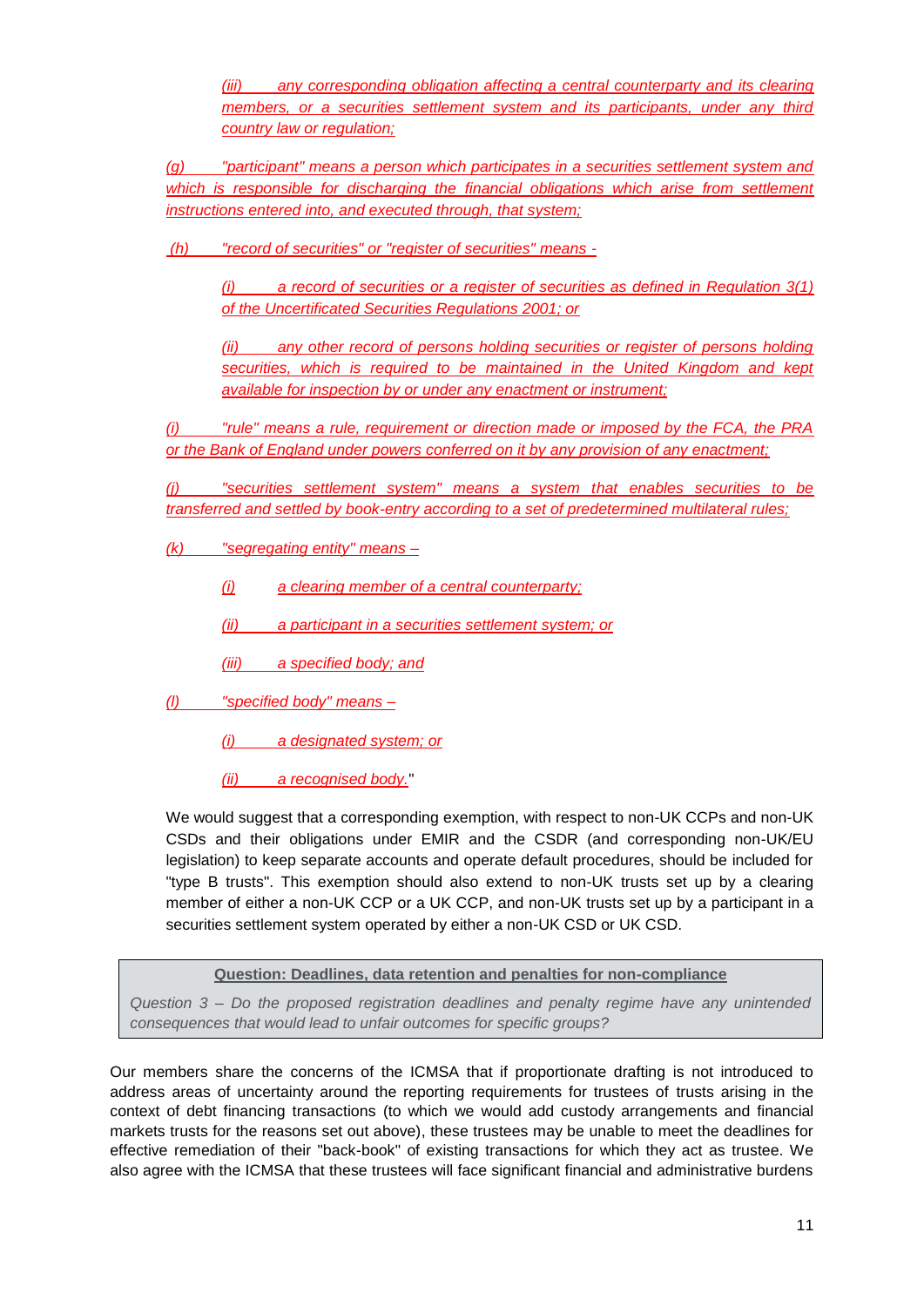*(iii) any corresponding obligation affecting a central counterparty and its clearing members, or a securities settlement system and its participants, under any third country law or regulation;*

*(g) "participant" means a person which participates in a securities settlement system and which is responsible for discharging the financial obligations which arise from settlement instructions entered into, and executed through, that system;*

*(h) "record of securities" or "register of securities" means -*

*(i) a record of securities or a register of securities as defined in Regulation 3(1) of the Uncertificated Securities Regulations 2001; or*

*(ii) any other record of persons holding securities or register of persons holding securities, which is required to be maintained in the United Kingdom and kept available for inspection by or under any enactment or instrument;* 

*(i) "rule" means a rule, requirement or direction made or imposed by the FCA, the PRA or the Bank of England under powers conferred on it by any provision of any enactment;* 

*(j) "securities settlement system" means a system that enables securities to be transferred and settled by book-entry according to a set of predetermined multilateral rules;*

*(k) "segregating entity" means –*

*(i) a clearing member of a central counterparty;*

*(ii) a participant in a securities settlement system; or*

*(iii) a specified body; and*

*(l) "specified body" means –*

*(i) a designated system; or*

*(ii) a recognised body.*"

We would suggest that a corresponding exemption, with respect to non-UK CCPs and non-UK CSDs and their obligations under EMIR and the CSDR (and corresponding non-UK/EU legislation) to keep separate accounts and operate default procedures, should be included for "type B trusts". This exemption should also extend to non-UK trusts set up by a clearing member of either a non-UK CCP or a UK CCP, and non-UK trusts set up by a participant in a securities settlement system operated by either a non-UK CSD or UK CSD.

**Question: Deadlines, data retention and penalties for non-compliance**

*Question 3 – Do the proposed registration deadlines and penalty regime have any unintended consequences that would lead to unfair outcomes for specific groups?* 

Our members share the concerns of the ICMSA that if proportionate drafting is not introduced to address areas of uncertainty around the reporting requirements for trustees of trusts arising in the context of debt financing transactions (to which we would add custody arrangements and financial markets trusts for the reasons set out above), these trustees may be unable to meet the deadlines for effective remediation of their "back-book" of existing transactions for which they act as trustee. We also agree with the ICMSA that these trustees will face significant financial and administrative burdens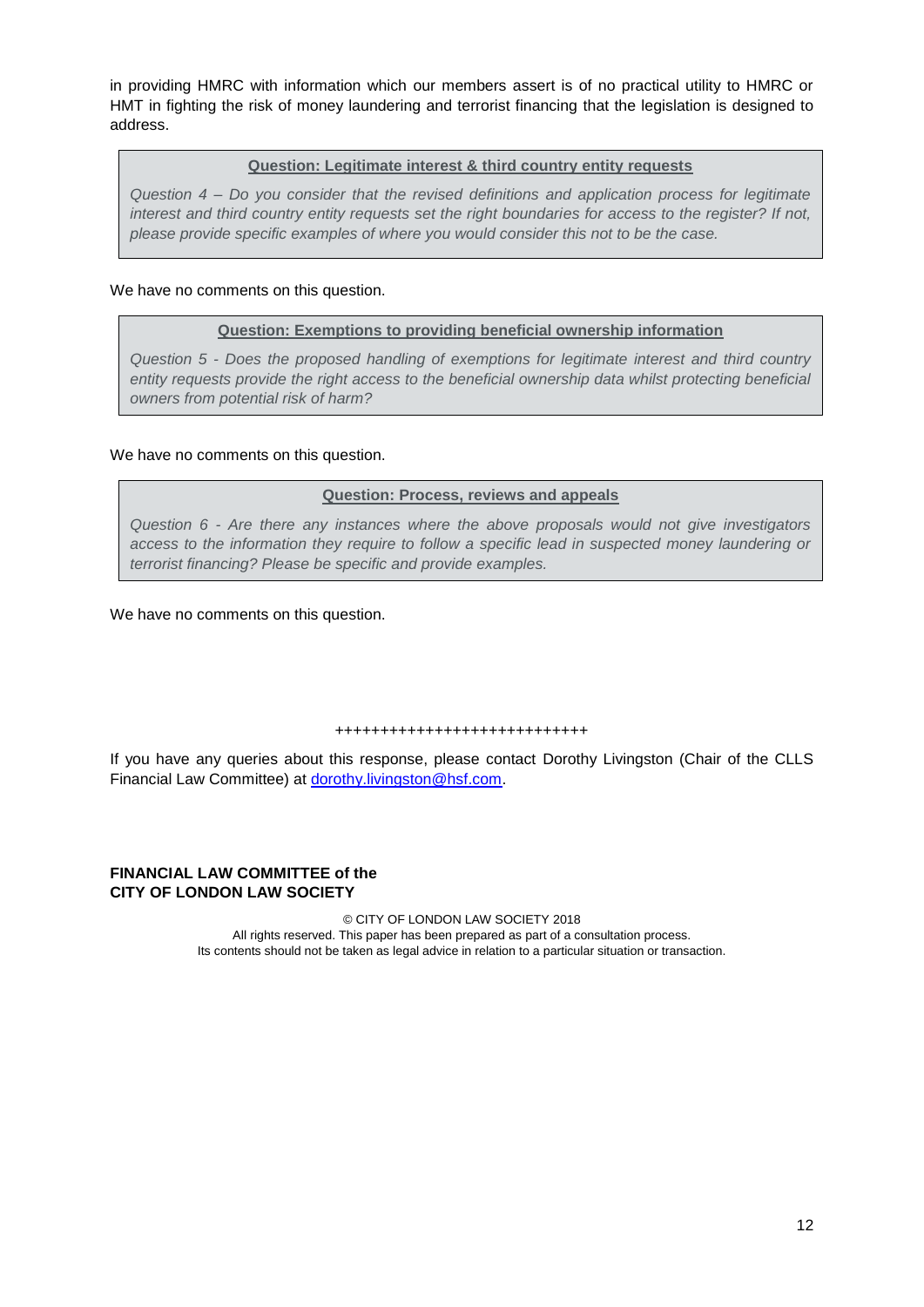in providing HMRC with information which our members assert is of no practical utility to HMRC or HMT in fighting the risk of money laundering and terrorist financing that the legislation is designed to address.

### **Question: Legitimate interest & third country entity requests**

*Question 4 – Do you consider that the revised definitions and application process for legitimate interest and third country entity requests set the right boundaries for access to the register? If not, please provide specific examples of where you would consider this not to be the case.*

## We have no comments on this question.

### **Question: Exemptions to providing beneficial ownership information**

*Question 5 - Does the proposed handling of exemptions for legitimate interest and third country entity requests provide the right access to the beneficial ownership data whilst protecting beneficial owners from potential risk of harm?* 

We have no comments on this question.

## **Question: Process, reviews and appeals**

*Question 6 - Are there any instances where the above proposals would not give investigators access to the information they require to follow a specific lead in suspected money laundering or terrorist financing? Please be specific and provide examples.*

We have no comments on this question.

#### ++++++++++++++++++++++++++++

If you have any queries about this response, please contact Dorothy Livingston (Chair of the CLLS Financial Law Committee) at [dorothy.livingston@hsf.com.](mailto:dorothy.livingston@hsf.com)

## **FINANCIAL LAW COMMITTEE of the CITY OF LONDON LAW SOCIETY**

© CITY OF LONDON LAW SOCIETY 2018 All rights reserved. This paper has been prepared as part of a consultation process. Its contents should not be taken as legal advice in relation to a particular situation or transaction.